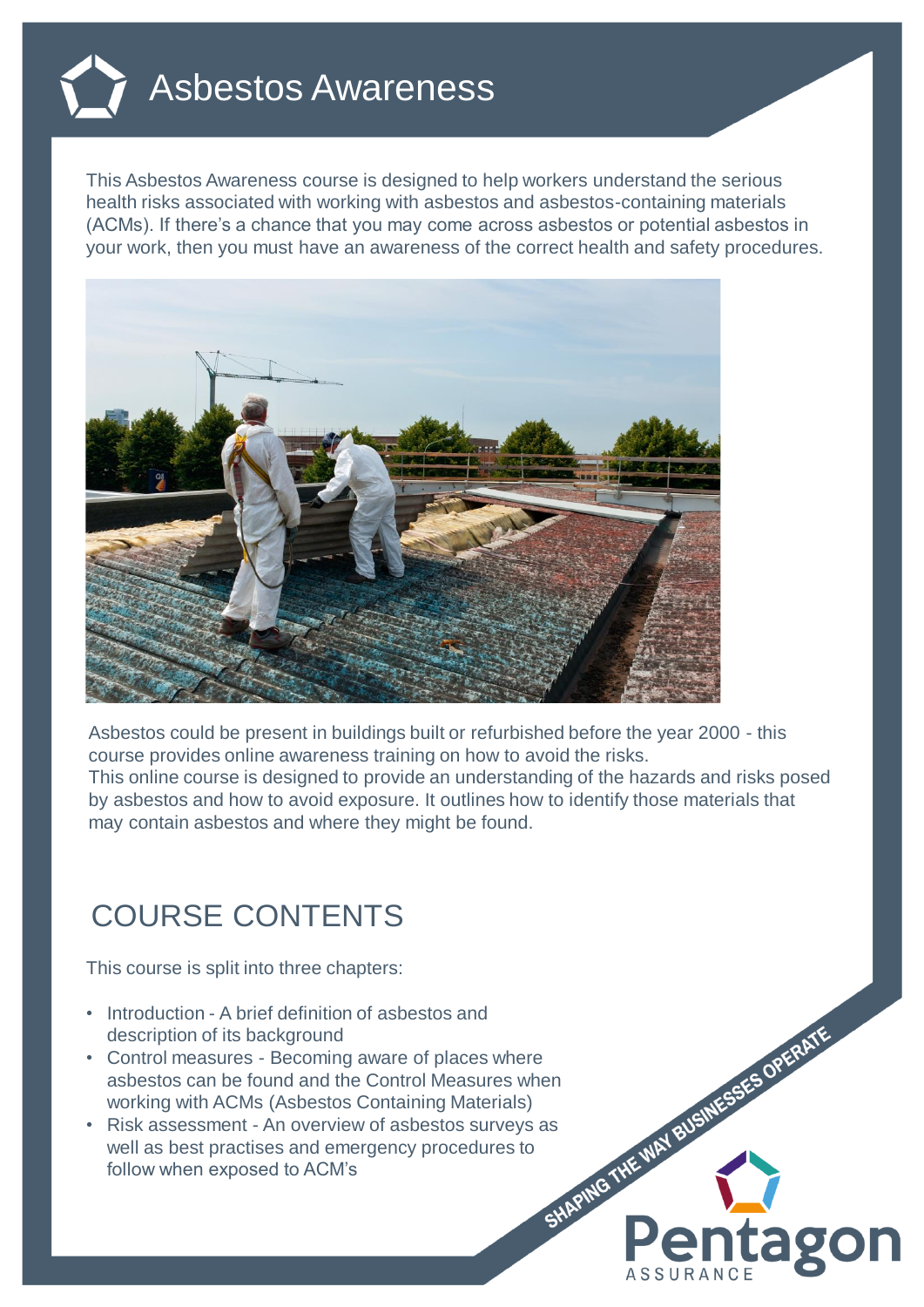

This Asbestos Awareness course is designed to help workers understand the serious health risks associated with working with asbestos and asbestos-containing materials (ACMs). If there's a chance that you may come across asbestos or potential asbestos in your work, then you must have an awareness of the correct health and safety procedures.



Asbestos could be present in buildings built or refurbished before the year 2000 - this course provides online awareness training on how to avoid the risks. This online course is designed to provide an understanding of the hazards and risks posed by asbestos and how to avoid exposure. It outlines how to identify those materials that may contain asbestos and where they might be found.

ag

## COURSE CONTENTS

This course is split into three chapters:

- Introduction A brief definition of asbestos and description of its background
- asbestos can be found and the Control Measures when working with ACMs (Asbestos Containing Materials)
- Control measures Becoming aware of places where<br>
asbestos can be found and the Control Measures when<br>
working with ACMs (Asbestos Containing Materials)<br>
 Risk assessment An overview of asbestos surveys as<br>
well as b • Risk assessment - An overview of asbestos surveys as well as best practises and emergency procedures to follow when exposed to ACM's